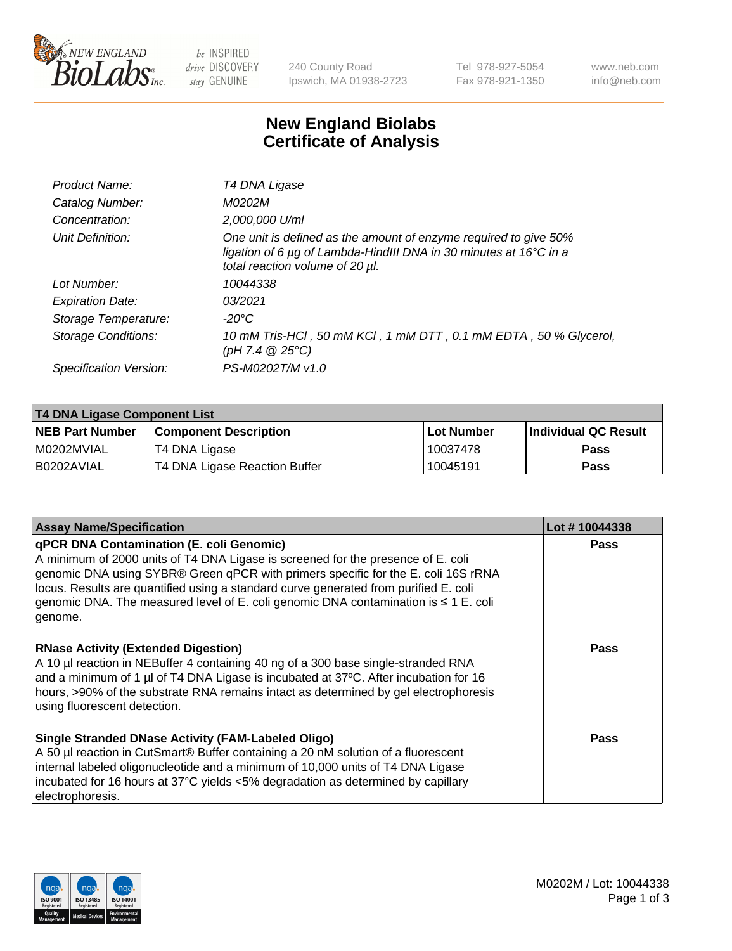

be INSPIRED drive DISCOVERY stay GENUINE

240 County Road Ipswich, MA 01938-2723 Tel 978-927-5054 Fax 978-921-1350 www.neb.com info@neb.com

## **New England Biolabs Certificate of Analysis**

| Product Name:              | T4 DNA Ligase                                                                                                                                                                           |
|----------------------------|-----------------------------------------------------------------------------------------------------------------------------------------------------------------------------------------|
| Catalog Number:            | M0202M                                                                                                                                                                                  |
| Concentration:             | 2,000,000 U/ml                                                                                                                                                                          |
| Unit Definition:           | One unit is defined as the amount of enzyme required to give 50%<br>ligation of 6 $\mu$ g of Lambda-HindIII DNA in 30 minutes at 16 $\degree$ C in a<br>total reaction volume of 20 µl. |
| Lot Number:                | 10044338                                                                                                                                                                                |
| <b>Expiration Date:</b>    | 03/2021                                                                                                                                                                                 |
| Storage Temperature:       | -20°C                                                                                                                                                                                   |
| <b>Storage Conditions:</b> | 10 mM Tris-HCl, 50 mM KCl, 1 mM DTT, 0.1 mM EDTA, 50 % Glycerol,<br>(pH 7.4 $@25°C$ )                                                                                                   |
| Specification Version:     | PS-M0202T/M v1.0                                                                                                                                                                        |

| T4 DNA Ligase Component List |                               |              |                             |  |
|------------------------------|-------------------------------|--------------|-----------------------------|--|
| <b>NEB Part Number</b>       | l Component Description       | l Lot Number | <b>Individual QC Result</b> |  |
| I M0202MVIAL                 | T4 DNA Ligase                 | 10037478     | <b>Pass</b>                 |  |
| I B0202AVIAL                 | T4 DNA Ligase Reaction Buffer | 10045191     | <b>Pass</b>                 |  |

| <b>Assay Name/Specification</b>                                                                                                                                                                                                                                                                                                                                                                                         | Lot #10044338 |
|-------------------------------------------------------------------------------------------------------------------------------------------------------------------------------------------------------------------------------------------------------------------------------------------------------------------------------------------------------------------------------------------------------------------------|---------------|
| <b>qPCR DNA Contamination (E. coli Genomic)</b><br>A minimum of 2000 units of T4 DNA Ligase is screened for the presence of E. coli<br>genomic DNA using SYBR® Green qPCR with primers specific for the E. coli 16S rRNA<br>locus. Results are quantified using a standard curve generated from purified E. coli<br>genomic DNA. The measured level of E. coli genomic DNA contamination is $\leq 1$ E. coli<br>genome. | <b>Pass</b>   |
| <b>RNase Activity (Extended Digestion)</b><br>A 10 µl reaction in NEBuffer 4 containing 40 ng of a 300 base single-stranded RNA<br>and a minimum of 1 µl of T4 DNA Ligase is incubated at 37 $\degree$ C. After incubation for 16<br>hours, >90% of the substrate RNA remains intact as determined by gel electrophoresis<br>using fluorescent detection.                                                               | Pass          |
| Single Stranded DNase Activity (FAM-Labeled Oligo)<br>A 50 µl reaction in CutSmart® Buffer containing a 20 nM solution of a fluorescent<br>internal labeled oligonucleotide and a minimum of 10,000 units of T4 DNA Ligase<br>incubated for 16 hours at 37°C yields <5% degradation as determined by capillary<br>electrophoresis.                                                                                      | Pass          |

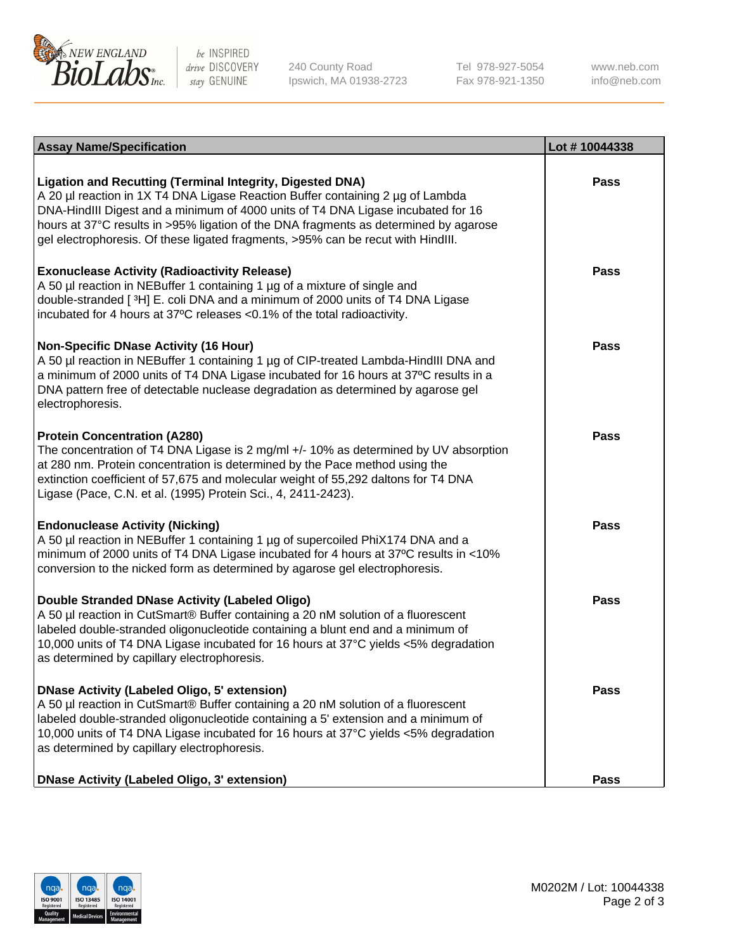

be INSPIRED drive DISCOVERY stay GENUINE

240 County Road Ipswich, MA 01938-2723 Tel 978-927-5054 Fax 978-921-1350

www.neb.com info@neb.com

| <b>Assay Name/Specification</b>                                                                                                                                                                                                                                                                                                                                                                                    | Lot #10044338 |
|--------------------------------------------------------------------------------------------------------------------------------------------------------------------------------------------------------------------------------------------------------------------------------------------------------------------------------------------------------------------------------------------------------------------|---------------|
| <b>Ligation and Recutting (Terminal Integrity, Digested DNA)</b><br>A 20 µl reaction in 1X T4 DNA Ligase Reaction Buffer containing 2 µg of Lambda<br>DNA-HindIII Digest and a minimum of 4000 units of T4 DNA Ligase incubated for 16<br>hours at 37°C results in >95% ligation of the DNA fragments as determined by agarose<br>gel electrophoresis. Of these ligated fragments, >95% can be recut with HindIII. | <b>Pass</b>   |
| <b>Exonuclease Activity (Radioactivity Release)</b><br>A 50 µl reaction in NEBuffer 1 containing 1 µg of a mixture of single and<br>double-stranded [3H] E. coli DNA and a minimum of 2000 units of T4 DNA Ligase<br>incubated for 4 hours at 37°C releases <0.1% of the total radioactivity.                                                                                                                      | <b>Pass</b>   |
| <b>Non-Specific DNase Activity (16 Hour)</b><br>A 50 µl reaction in NEBuffer 1 containing 1 µg of CIP-treated Lambda-HindIII DNA and<br>a minimum of 2000 units of T4 DNA Ligase incubated for 16 hours at 37°C results in a<br>DNA pattern free of detectable nuclease degradation as determined by agarose gel<br>electrophoresis.                                                                               | <b>Pass</b>   |
| <b>Protein Concentration (A280)</b><br>The concentration of T4 DNA Ligase is 2 mg/ml +/- 10% as determined by UV absorption<br>at 280 nm. Protein concentration is determined by the Pace method using the<br>extinction coefficient of 57,675 and molecular weight of 55,292 daltons for T4 DNA<br>Ligase (Pace, C.N. et al. (1995) Protein Sci., 4, 2411-2423).                                                  | <b>Pass</b>   |
| <b>Endonuclease Activity (Nicking)</b><br>A 50 µl reaction in NEBuffer 1 containing 1 µg of supercoiled PhiX174 DNA and a<br>minimum of 2000 units of T4 DNA Ligase incubated for 4 hours at 37°C results in <10%<br>conversion to the nicked form as determined by agarose gel electrophoresis.                                                                                                                   | Pass          |
| <b>Double Stranded DNase Activity (Labeled Oligo)</b><br>A 50 µl reaction in CutSmart® Buffer containing a 20 nM solution of a fluorescent<br>labeled double-stranded oligonucleotide containing a blunt end and a minimum of<br>10,000 units of T4 DNA Ligase incubated for 16 hours at 37°C yields <5% degradation<br>as determined by capillary electrophoresis.                                                | <b>Pass</b>   |
| <b>DNase Activity (Labeled Oligo, 5' extension)</b><br>A 50 µl reaction in CutSmart® Buffer containing a 20 nM solution of a fluorescent<br>labeled double-stranded oligonucleotide containing a 5' extension and a minimum of<br>10,000 units of T4 DNA Ligase incubated for 16 hours at 37°C yields <5% degradation<br>as determined by capillary electrophoresis.                                               | <b>Pass</b>   |
| DNase Activity (Labeled Oligo, 3' extension)                                                                                                                                                                                                                                                                                                                                                                       | Pass          |